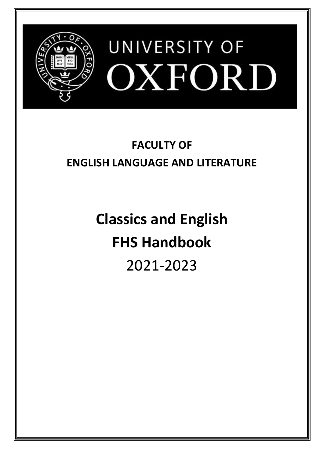

# **FACULTY OF ENGLISH LANGUAGE AND LITERATURE**

**Classics and English FHS Handbook** 2021-2023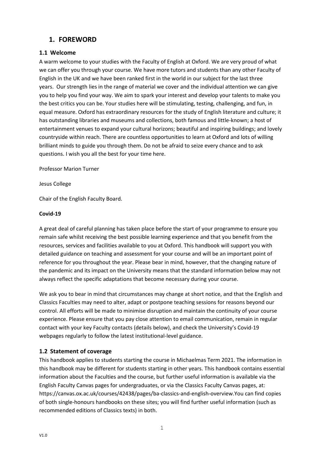## <span id="page-1-0"></span>**1. FOREWORD**

## <span id="page-1-1"></span>**1.1 Welcome**

A warm welcome to your studies with the Faculty of English at Oxford. We are very proud of what we can offer you through your course. We have more tutors and students than any other Faculty of English in the UK and we have been ranked first in the world in our subject for the last three years. Our strength lies in the range of material we cover and the individual attention we can give you to help you find your way. We aim to spark your interest and develop your talents to make you the best critics you can be. Your studies here will be stimulating, testing, challenging, and fun, in equal measure. Oxford has extraordinary resources for the study of English literature and culture; it has outstanding libraries and museums and collections, both famous and little-known; a host of entertainment venues to expand your cultural horizons; beautiful and inspiring buildings; and lovely countryside within reach. There are countless opportunities to learn at Oxford and lots of willing brilliant minds to guide you through them. Do not be afraid to seize every chance and to ask questions. I wish you all the best for your time here.

Professor Marion Turner

Jesus College

Chair of the English Faculty Board.

## **Covid-19**

A great deal of careful planning has taken place before the start of your programme to ensure you remain safe whilst receiving the best possible learning experience and that you benefit from the resources, services and facilities available to you at Oxford. This handbook will support you with detailed guidance on teaching and assessment for your course and will be an important point of reference for you throughout the year. Please bear in mind, however, that the changing nature of the pandemic and its impact on the University means that the standard information below may not always reflect the specific adaptations that become necessary during your course.

We ask you to bear in mind that circumstances may change at short notice, and that the English and Classics Faculties may need to alter, adapt or postpone teaching sessions for reasons beyond our control. All efforts will be made to minimise disruption and maintain the continuity of your course experience. Please ensure that you pay close attention to email communication, remain in regular contact with your key Faculty contacts (details below), and check the University's Covid-19 webpages regularly to follow the latest institutional-level guidance.

## <span id="page-1-2"></span>**1.2 Statement of coverage**

This handbook applies to students starting the course in Michaelmas Term 2021. The information in this handbook may be different for students starting in other years. This handbook contains essential information about the Faculties and the course, but further useful information is available via the English Faculty Canvas pages for undergraduates, or via the Classics Faculty Canvas pages, at: https://canvas.ox.ac.uk/courses/42438/pages/ba-classics-and-english-overview.You can find copies of both single-honours handbooks on these sites; you will find further useful information (such as recommended editions of Classics texts) in both.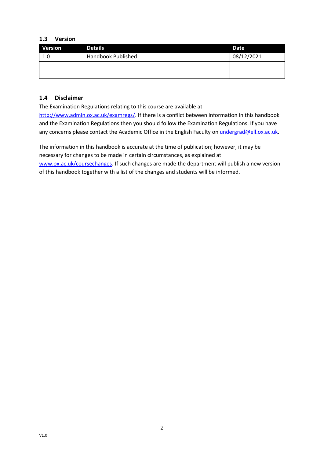## <span id="page-2-0"></span>**1.3 Version**

| <b>Version</b> | <b>Details</b>            | Date       |
|----------------|---------------------------|------------|
| 1.0            | <b>Handbook Published</b> | 08/12/2021 |
|                |                           |            |
|                |                           |            |

## <span id="page-2-1"></span>**1.4 Disclaimer**

The Examination Regulations relating to this course are available at

[http://www.admin.ox.ac.uk/examregs/.](http://www.admin.ox.ac.uk/examregs/) If there is a conflict between information in this handbook and the Examination Regulations then you should follow the Examination Regulations. If you have any concerns please contact the Academic Office in the English Faculty on [undergrad@ell.ox.ac.uk.](mailto:undergrad@ell.ox.ac.uk)

The information in this handbook is accurate at the time of publication; however, it may be necessary for changes to be made in certain circumstances, as explained at [www.ox.ac.uk/coursechanges.](http://www.ox.ac.uk/coursechanges) If such changes are made the department will publish a new version of this handbook together with a list of the changes and students will be informed.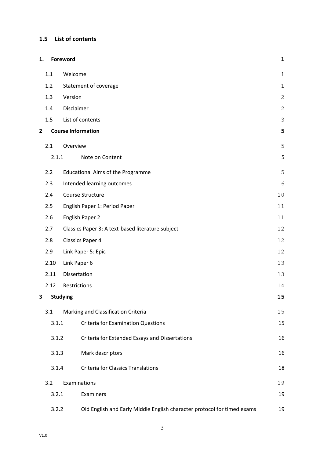## <span id="page-3-0"></span>**1.5 List of contents**

| 1.           |       | Foreword                                                                | $\mathbf 1$  |
|--------------|-------|-------------------------------------------------------------------------|--------------|
|              | 1.1   | Welcome                                                                 | $1\,$        |
|              | 1.2   | Statement of coverage                                                   | $\mathbf 1$  |
|              | 1.3   | Version                                                                 | $\mathbf{2}$ |
|              | 1.4   | Disclaimer                                                              | $\mathbf{2}$ |
|              | 1.5   | List of contents                                                        | 3            |
| $\mathbf{2}$ |       | <b>Course Information</b>                                               | 5            |
|              | 2.1   | Overview                                                                | 5            |
|              | 2.1.1 | Note on Content                                                         | 5            |
|              | 2.2   | <b>Educational Aims of the Programme</b>                                | 5            |
|              | 2.3   | Intended learning outcomes                                              | $\epsilon$   |
|              | 2.4   | Course Structure                                                        | 10           |
|              | 2.5   | English Paper 1: Period Paper                                           | 11           |
|              | 2.6   | English Paper 2                                                         |              |
|              | 2.7   | Classics Paper 3: A text-based literature subject                       | 12           |
|              | 2.8   | <b>Classics Paper 4</b>                                                 | 12           |
|              | 2.9   | Link Paper 5: Epic                                                      |              |
|              | 2.10  | Link Paper 6                                                            |              |
|              | 2.11  | Dissertation                                                            | 13           |
|              | 2.12  | Restrictions                                                            | 14           |
| 3.           |       | <b>Studying</b>                                                         | 15           |
|              | 3.1   | Marking and Classification Criteria                                     | 15           |
|              | 3.1.1 | <b>Criteria for Examination Questions</b>                               | 15           |
|              | 3.1.2 | Criteria for Extended Essays and Dissertations                          | 16           |
|              | 3.1.3 | Mark descriptors                                                        | 16           |
|              | 3.1.4 | <b>Criteria for Classics Translations</b>                               | 18           |
|              | 3.2   | Examinations                                                            | 19           |
|              | 3.2.1 | Examiners                                                               | 19           |
|              | 3.2.2 | Old English and Early Middle English character protocol for timed exams | 19           |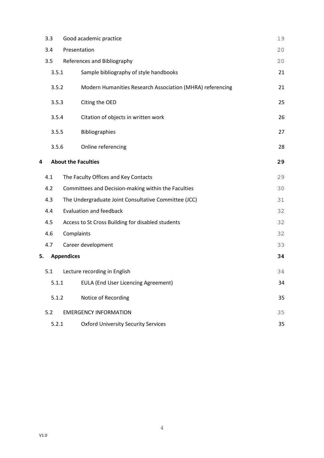|       | 3.3   | Good academic practice                                    | 19 |  |
|-------|-------|-----------------------------------------------------------|----|--|
|       | 3.4   | Presentation                                              |    |  |
|       | 3.5   | References and Bibliography                               | 20 |  |
|       | 3.5.1 | Sample bibliography of style handbooks                    | 21 |  |
|       | 3.5.2 | Modern Humanities Research Association (MHRA) referencing | 21 |  |
|       | 3.5.3 | Citing the OED                                            | 25 |  |
|       | 3.5.4 | Citation of objects in written work                       | 26 |  |
|       | 3.5.5 | Bibliographies                                            | 27 |  |
|       | 3.5.6 | Online referencing                                        | 28 |  |
| 4     |       | <b>About the Faculties</b>                                | 29 |  |
|       | 4.1   | The Faculty Offices and Key Contacts                      | 29 |  |
|       | 4.2   | Committees and Decision-making within the Faculties       | 30 |  |
|       | 4.3   | The Undergraduate Joint Consultative Committee (JCC)      | 31 |  |
|       | 4.4   | <b>Evaluation and feedback</b>                            | 32 |  |
|       | 4.5   | Access to St Cross Building for disabled students         | 32 |  |
|       | 4.6   | Complaints                                                | 32 |  |
|       | 4.7   | Career development                                        | 33 |  |
| 5.    |       | <b>Appendices</b>                                         | 34 |  |
|       | 5.1   | Lecture recording in English                              | 34 |  |
|       | 5.1.1 | <b>EULA (End User Licencing Agreement)</b>                | 34 |  |
| 5.1.2 |       | Notice of Recording                                       | 35 |  |
|       | 5.2   | <b>EMERGENCY INFORMATION</b>                              |    |  |
|       | 5.2.1 | <b>Oxford University Security Services</b>                | 35 |  |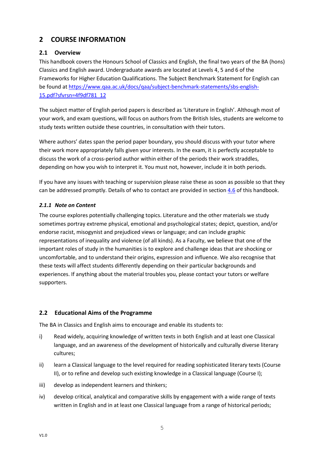# <span id="page-5-0"></span>**2 COURSE INFORMATION**

## <span id="page-5-1"></span>**2.1 Overview**

This handbook covers the Honours School of Classics and English, the final two years of the BA (hons) Classics and English award. Undergraduate awards are located at Levels 4, 5 and 6 of the Frameworks for Higher Education Qualifications. The Subject Benchmark Statement for English can be found at [https://www.qaa.ac.uk/docs/qaa/subject-benchmark-statements/sbs-english-](https://www.qaa.ac.uk/docs/qaa/subject-benchmark-statements/sbs-english-15.pdf?sfvrsn=4f9df781_12)[15.pdf?sfvrsn=4f9df781\\_12](https://www.qaa.ac.uk/docs/qaa/subject-benchmark-statements/sbs-english-15.pdf?sfvrsn=4f9df781_12)

The subject matter of English period papers is described as 'Literature in English'. Although most of your work, and exam questions, will focus on authors from the British Isles, students are welcome to study texts written outside these countries, in consultation with their tutors.

Where authors' dates span the period paper boundary, you should discuss with your tutor where their work more appropriately falls given your interests. In the exam, it is perfectly acceptable to discuss the work of a cross-period author within either of the periods their work straddles, depending on how you wish to interpret it. You must not, however, include it in both periods.

If you have any issues with teaching or supervision please raise these as soon as possible so that they can be addressed promptly. Details of who to contact are provided in sectio[n 4.6](#page-32-2) of this handbook.

## <span id="page-5-2"></span>*2.1.1 Note on Content*

The course explores potentially challenging topics. Literature and the other materials we study sometimes portray extreme physical, emotional and psychological states; depict, question, and/or endorse racist, misogynist and prejudiced views or language; and can include graphic representations of inequality and violence (of all kinds). As a Faculty, we believe that one of the important roles of study in the humanities is to explore and challenge ideas that are shocking or uncomfortable, and to understand their origins, expression and influence. We also recognise that these texts will affect students differently depending on their particular backgrounds and experiences. If anything about the material troubles you, please contact your tutors or welfare supporters.

## <span id="page-5-3"></span>**2.2 Educational Aims of the Programme**

The BA in Classics and English aims to encourage and enable its students to:

- i) Read widely, acquiring knowledge of written texts in both English and at least one Classical language, and an awareness of the development of historically and culturally diverse literary cultures;
- ii) learn a Classical language to the level required for reading sophisticated literary texts (Course II), or to refine and develop such existing knowledge in a Classical language (Course I);
- iii) develop as independent learners and thinkers;
- iv) develop critical, analytical and comparative skills by engagement with a wide range of texts written in English and in at least one Classical language from a range of historical periods;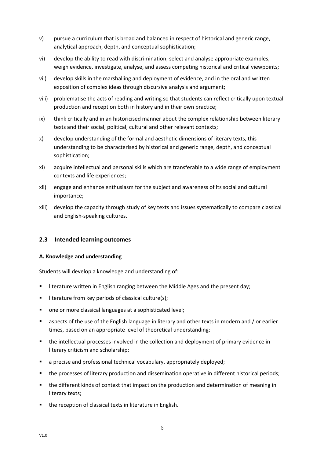- v) pursue a curriculum that is broad and balanced in respect of historical and generic range, analytical approach, depth, and conceptual sophistication;
- vi) develop the ability to read with discrimination; select and analyse appropriate examples, weigh evidence, investigate, analyse, and assess competing historical and critical viewpoints;
- vii) develop skills in the marshalling and deployment of evidence, and in the oral and written exposition of complex ideas through discursive analysis and argument;
- viii) problematise the acts of reading and writing so that students can reflect critically upon textual production and reception both in history and in their own practice;
- ix) think critically and in an historicised manner about the complex relationship between literary texts and their social, political, cultural and other relevant contexts;
- x) develop understanding of the formal and aesthetic dimensions of literary texts, this understanding to be characterised by historical and generic range, depth, and conceptual sophistication;
- xi) acquire intellectual and personal skills which are transferable to a wide range of employment contexts and life experiences;
- xii) engage and enhance enthusiasm for the subject and awareness of its social and cultural importance;
- xiii) develop the capacity through study of key texts and issues systematically to compare classical and English-speaking cultures.

## <span id="page-6-0"></span>**2.3 Intended learning outcomes**

#### **A. Knowledge and understanding**

Students will develop a knowledge and understanding of:

- literature written in English ranging between the Middle Ages and the present day;
- literature from key periods of classical culture(s);
- one or more classical languages at a sophisticated level;
- aspects of the use of the English language in literary and other texts in modern and / or earlier times, based on an appropriate level of theoretical understanding;
- the intellectual processes involved in the collection and deployment of primary evidence in literary criticism and scholarship;
- a precise and professional technical vocabulary, appropriately deployed;
- the processes of literary production and dissemination operative in different historical periods;
- the different kinds of context that impact on the production and determination of meaning in literary texts;
- the reception of classical texts in literature in English.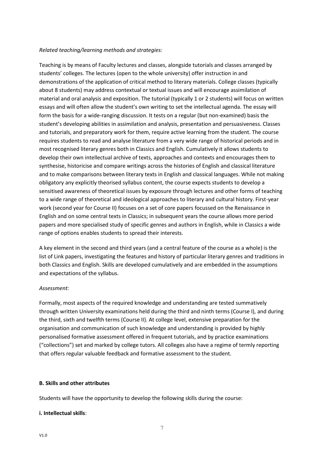#### *Related teaching/learning methods and strategies:*

Teaching is by means of Faculty lectures and classes, alongside tutorials and classes arranged by students' colleges. The lectures (open to the whole university) offer instruction in and demonstrations of the application of critical method to literary materials. College classes (typically about 8 students) may address contextual or textual issues and will encourage assimilation of material and oral analysis and exposition. The tutorial (typically 1 or 2 students) will focus on written essays and will often allow the student's own writing to set the intellectual agenda. The essay will form the basis for a wide-ranging discussion. It tests on a regular (but non-examined) basis the student's developing abilities in assimilation and analysis, presentation and persuasiveness. Classes and tutorials, and preparatory work for them, require active learning from the student. The course requires students to read and analyse literature from a very wide range of historical periods and in most recognised literary genres both in Classics and English. Cumulatively it allows students to develop their own intellectual archive of texts, approaches and contexts and encourages them to synthesise, historicise and compare writings across the histories of English and classical literature and to make comparisons between literary texts in English and classical languages. While not making obligatory any explicitly theorised syllabus content, the course expects students to develop a sensitised awareness of theoretical issues by exposure through lectures and other forms of teaching to a wide range of theoretical and ideological approaches to literary and cultural history. First-year work (second year for Course II) focuses on a set of core papers focussed on the Renaissance in English and on some central texts in Classics; in subsequent years the course allows more period papers and more specialised study of specific genres and authors in English, while in Classics a wide range of options enables students to spread their interests.

A key element in the second and third years (and a central feature of the course as a whole) is the list of Link papers, investigating the features and history of particular literary genres and traditions in both Classics and English. Skills are developed cumulatively and are embedded in the assumptions and expectations of the syllabus.

#### *Assessment:*

Formally, most aspects of the required knowledge and understanding are tested summatively through written University examinations held during the third and ninth terms (Course I), and during the third, sixth and twelfth terms (Course II). At college level, extensive preparation for the organisation and communication of such knowledge and understanding is provided by highly personalised formative assessment offered in frequent tutorials, and by practice examinations ("collections") set and marked by college tutors. All colleges also have a regime of termly reporting that offers regular valuable feedback and formative assessment to the student.

#### **B. Skills and other attributes**

Students will have the opportunity to develop the following skills during the course:

#### **i. Intellectual skills**: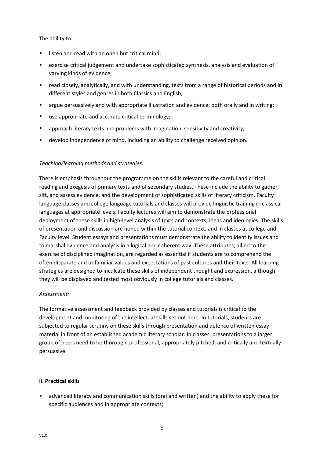#### The ability to

- listen and read with an open but critical mind;
- exercise critical judgement and undertake sophisticated synthesis, analysis and evaluation of varying kinds of evidence;
- read closely, analytically, and with understanding, texts from a range of historical periods and in different styles and genres in both Classics and English;
- **■** argue persuasively and with appropriate illustration and evidence, both orally and in writing;
- use appropriate and accurate critical terminology;
- **•** approach literary texts and problems with imagination, sensitivity and creativity;
- develop independence of mind, including an ability to challenge received opinion.

## *Teaching/learning methods and strategies:*

There is emphasis throughout the programme on the skills relevant to the careful and critical reading and exegesis of primary texts and of secondary studies. These include the ability to gather, sift, and assess evidence, and the development of sophisticated skills of literary criticism. Faculty language classes and college language tutorials and classes will provide linguistic training in classical languages at appropriate levels. Faculty lectures will aim to demonstrate the professional deployment of these skills in high-level analysis of texts and contexts, ideas and ideologies. The skills of presentation and discussion are honed within the tutorial context, and in classes at college and Faculty level. Student essays and presentations must demonstrate the ability to identify issues and to marshal evidence and analysis in a logical and coherent way. These attributes, allied to the exercise of disciplined imagination, are regarded as essential if students are to comprehend the often disparate and unfamiliar values and expectations of past cultures and their texts. All learning strategies are designed to inculcate these skills of independent thought and expression, although they will be displayed and tested most obviously in college tutorials and classes.

## *Assessment:*

The formative assessment and feedback provided by classes and tutorials is critical to the development and monitoring of the intellectual skills set out here. In tutorials, students are subjected to regular scrutiny on these skills through presentation and defence of written essay material in front of an established academic literary scholar. In classes, presentations to a larger group of peers need to be thorough, professional, appropriately pitched, and critically and textually persuasive.

## **ii. Practical skills**

■ advanced literacy and communication skills (oral and written) and the ability to apply these for specific audiences and in appropriate contexts;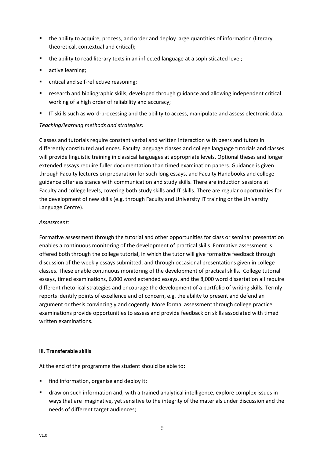- the ability to acquire, process, and order and deploy large quantities of information (literary, theoretical, contextual and critical);
- the ability to read literary texts in an inflected language at a sophisticated level;
- active learning;
- critical and self-reflective reasoning:
- **■** research and bibliographic skills, developed through guidance and allowing independent critical working of a high order of reliability and accuracy;
- **■** IT skills such as word-processing and the ability to access, manipulate and assess electronic data.

## *Teaching/learning methods and strategies:*

Classes and tutorials require constant verbal and written interaction with peers and tutors in differently constituted audiences. Faculty language classes and college language tutorials and classes will provide linguistic training in classical languages at appropriate levels. Optional theses and longer extended essays require fuller documentation than timed examination papers. Guidance is given through Faculty lectures on preparation for such long essays, and Faculty Handbooks and college guidance offer assistance with communication and study skills. There are induction sessions at Faculty and college levels, covering both study skills and IT skills. There are regular opportunities for the development of new skills (e.g. through Faculty and University IT training or the University Language Centre).

## *Assessment:*

Formative assessment through the tutorial and other opportunities for class or seminar presentation enables a continuous monitoring of the development of practical skills. Formative assessment is offered both through the college tutorial, in which the tutor will give formative feedback through discussion of the weekly essays submitted, and through occasional presentations given in college classes. These enable continuous monitoring of the development of practical skills. College tutorial essays, timed examinations, 6,000 word extended essays, and the 8,000 word dissertation all require different rhetorical strategies and encourage the development of a portfolio of writing skills*.* Termly reports identify points of excellence and of concern, e.g. the ability to present and defend an argument or thesis convincingly and cogently. More formal assessment through college practice examinations provide opportunities to assess and provide feedback on skills associated with timed written examinations.

## **iii. Transferable skills**

At the end of the programme the student should be able to**:**

- find information, organise and deploy it;
- draw on such information and, with a trained analytical intelligence, explore complex issues in ways that are imaginative, yet sensitive to the integrity of the materials under discussion and the needs of different target audiences;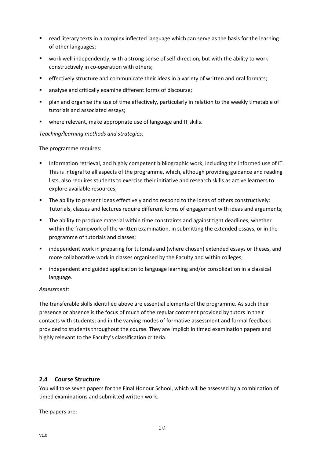- read literary texts in a complex inflected language which can serve as the basis for the learning of other languages;
- work well independently, with a strong sense of self-direction, but with the ability to work constructively in co-operation with others;
- **•** effectively structure and communicate their ideas in a variety of written and oral formats;
- analyse and critically examine different forms of discourse;
- plan and organise the use of time effectively, particularly in relation to the weekly timetable of tutorials and associated essays;
- where relevant, make appropriate use of language and IT skills.

## *Teaching/learning methods and strategies:*

The programme requires:

- **■** Information retrieval, and highly competent bibliographic work, including the informed use of IT. This is integral to all aspects of the programme, which, although providing guidance and reading lists, also requires students to exercise their initiative and research skills as active learners to explore available resources;
- **•** The ability to present ideas effectively and to respond to the ideas of others constructively: Tutorials, classes and lectures require different forms of engagement with ideas and arguments;
- The ability to produce material within time constraints and against tight deadlines, whether within the framework of the written examination, in submitting the extended essays, or in the programme of tutorials and classes;
- **■** independent work in preparing for tutorials and (where chosen) extended essays or theses, and more collaborative work in classes organised by the Faculty and within colleges;
- independent and guided application to language learning and/or consolidation in a classical language.

#### *Assessment:*

The transferable skills identified above are essential elements of the programme. As such their presence or absence is the focus of much of the regular comment provided by tutors in their contacts with students; and in the varying modes of formative assessment and formal feedback provided to students throughout the course. They are implicit in timed examination papers and highly relevant to the Faculty's classification criteria.

## <span id="page-10-0"></span>**2.4 Course Structure**

You will take seven papers for the Final Honour School, which will be assessed by a combination of timed examinations and submitted written work.

The papers are: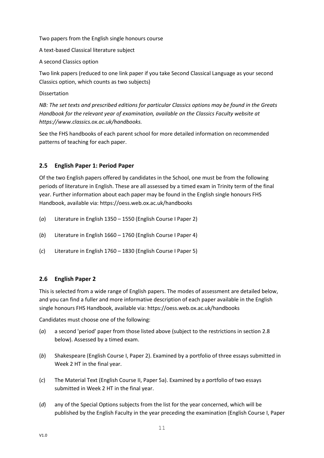#### Two papers from the English single honours course

A text-based Classical literature subject

A second Classics option

Two link papers (reduced to one link paper if you take Second Classical Language as your second Classics option, which counts as two subjects)

#### Dissertation

*NB: The set texts and prescribed editions for particular Classics options may be found in the Greats Handbook for the relevant year of examination, available on the Classics Faculty website at https://www.classics.ox.ac.uk/handbooks.*

See the FHS handbooks of each parent school for more detailed information on recommended patterns of teaching for each paper.

## <span id="page-11-0"></span>**2.5 English Paper 1: Period Paper**

Of the two English papers offered by candidates in the School, one must be from the following periods of literature in English. These are all assessed by a timed exam in Trinity term of the final year. Further information about each paper may be found in the English single honours FHS Handbook, available via: https://oess.web.ox.ac.uk/handbooks

- (*a*) Literature in English 1350 1550 (English Course I Paper 2)
- (*b*) Literature in English 1660 1760 (English Course I Paper 4)
- (*c*) Literature in English 1760 1830 (English Course I Paper 5)

## <span id="page-11-1"></span>**2.6 English Paper 2**

This is selected from a wide range of English papers. The modes of assessment are detailed below, and you can find a fuller and more informative description of each paper available in the English single honours FHS Handbook, available via: https://oess.web.ox.ac.uk/handbooks

Candidates must choose one of the following:

- (*a*) a second 'period' paper from those listed above (subject to the restrictions in section 2.8 below). Assessed by a timed exam.
- (*b*) Shakespeare (English Course I, Paper 2). Examined by a portfolio of three essays submitted in Week 2 HT in the final year.
- (*c*) The Material Text (English Course II, Paper 5a). Examined by a portfolio of two essays submitted in Week 2 HT in the final year.
- (*d*) any of the Special Options subjects from the list for the year concerned, which will be published by the English Faculty in the year preceding the examination (English Course I, Paper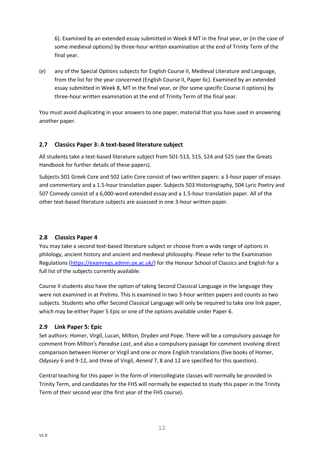6). Examined by an extended essay submitted in Week 8 MT in the final year, or (in the case of some medieval options) by three-hour written examination at the end of Trinity Term of the final year.

(*e*) any of the Special Options subjects for English Course II, Medieval Literature and Language, from the list for the year concerned (English Course II, Paper 6c). Examined by an extended essay submitted in Week 8, MT in the final year, or (for some specific Course II options) by three-hour written examination at the end of Trinity Term of the final year.

You must avoid duplicating in your answers to one paper, material that you have used in answering another paper.

## <span id="page-12-0"></span>**2.7 Classics Paper 3: A text-based literature subject**

All students take a text-based literature subject from 501-513, 515, 524 and 525 (see the Greats Handbook for further details of these papers).

Subjects 501 Greek Core and 502 Latin Core consist of two written papers: a 3-hour paper of essays and commentary and a 1.5-hour translation paper. Subjects 503 Historiography, 504 Lyric Poetry and 507 Comedy consist of a 6,000-word extended essay and a 1.5-hour translation paper. All of the other text-based literature subjects are assessed in one 3-hour written paper.

## <span id="page-12-1"></span>**2.8 Classics Paper 4**

You may take a second text-based literature subject or choose from a wide range of options in philology, ancient history and ancient and medieval philosophy. Please refer to the Examination Regulations [\(https://examregs.admin.ox.ac.uk/\)](https://examregs.admin.ox.ac.uk/) for the Honour School of Classics and English for a full list of the subjects currently available.

Course II students also have the option of taking Second Classical Language in the language they were not examined in at Prelims. This is examined in two 3-hour written papers and counts as two subjects. Students who offer Second Classical Language will only be required to take one link paper, which may be either Paper 5 Epic or one of the options available under Paper 6.

## <span id="page-12-2"></span>**2.9 Link Paper 5: Epic**

Set authors: Homer, Virgil, Lucan, Milton, Dryden and Pope. There will be a compulsory passage for comment from Milton's *Paradise Lost*, and also a compulsory passage for comment involving direct comparison between Homer or Virgil and one or more English translations (five books of Homer, *Odyssey* 6 and 9-12, and three of Virgil, *Aeneid* 7, 8 and 12 are specified for this question).

Central teaching for this paper in the form of intercollegiate classes will normally be provided in Trinity Term, and candidates for the FHS will normally be expected to study this paper in the Trinity Term of their second year (the first year of the FHS course).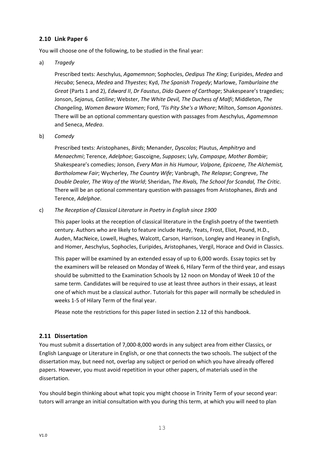## <span id="page-13-0"></span>**2.10 Link Paper 6**

You will choose one of the following, to be studied in the final year:

a) *Tragedy* 

Prescribed texts: Aeschylus, *Agamemnon*; Sophocles, *Oedipus The King*; Euripides, *Medea* and *Hecuba*; Seneca, *Medea* and *Thyestes*; Kyd, *The Spanish Tragedy*; Marlowe, *Tamburlaine the Great* (Parts 1 and 2), *Edward II*, *Dr Faustus*, *Dido Queen of Carthage*; Shakespeare's tragedies; Jonson, *Sejanus, Catiline*; Webster, *The White Devil, The Duchess of Malfi*; Middleton, *The Changeling*, *Women Beware Women*; Ford, *'Tis Pity She's a Whore*; Milton, *Samson Agonistes*. There will be an optional commentary question with passages from Aeschylus, *Agamemnon* and Seneca, *Medea*.

b) *Comedy*

Prescribed texts: Aristophanes, *Birds*; Menander, *Dyscolos*; Plautus, *Amphitryo* and *Menaechmi*; Terence, *Adelphoe*; Gascoigne, *Supposes*; Lyly, *Campaspe, Mother Bombie*; Shakespeare's comedies; Jonson, *Every Man in his Humour, Volpone, Epicoene, The Alchemist, Bartholomew Fair*; Wycherley, *The Country Wife*; Vanbrugh, *The Relapse*; Congreve, *The Double Dealer, The Way of the World*; Sheridan, *The Rivals, The School for Scandal, The Critic*. There will be an optional commentary question with passages from Aristophanes, *Birds* and Terence, *Adelphoe*.

c) *The Reception of Classical Literature in Poetry in English since 1900*

This paper looks at the reception of classical literature in the English poetry of the twentieth century. Authors who are likely to feature include Hardy, Yeats, Frost, Eliot, Pound, H.D., Auden, MacNeice, Lowell, Hughes, Walcott, Carson, Harrison, Longley and Heaney in English, and Homer, Aeschylus, Sophocles, Euripides, Aristophanes, Vergil, Horace and Ovid in Classics.

This paper will be examined by an extended essay of up to 6,000 words. Essay topics set by the examiners will be released on Monday of Week 6, Hilary Term of the third year, and essays should be submitted to the Examination Schools by 12 noon on Monday of Week 10 of the same term. Candidates will be required to use at least three authors in their essays, at least one of which must be a classical author. Tutorials for this paper will normally be scheduled in weeks 1-5 of Hilary Term of the final year.

Please note the restrictions for this paper listed in section 2.12 of this handbook.

## <span id="page-13-1"></span>**2.11 Dissertation**

You must submit a dissertation of 7,000-8,000 words in any subject area from either Classics, or English Language or Literature in English, or one that connects the two schools. The subject of the dissertation may, but need not, overlap any subject or period on which you have already offered papers. However, you must avoid repetition in your other papers, of materials used in the dissertation.

You should begin thinking about what topic you might choose in Trinity Term of your second year: tutors will arrange an initial consultation with you during this term, at which you will need to plan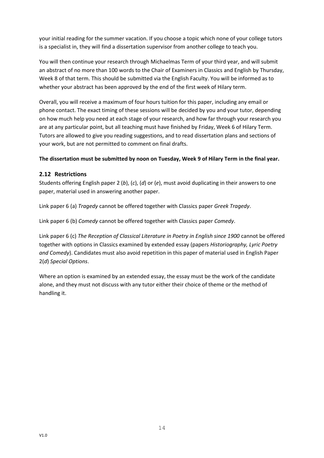your initial reading for the summer vacation. If you choose a topic which none of your college tutors is a specialist in, they will find a dissertation supervisor from another college to teach you.

You will then continue your research through Michaelmas Term of your third year, and will submit an abstract of no more than 100 words to the Chair of Examiners in Classics and English by Thursday, Week 8 of that term. This should be submitted via the English Faculty. You will be informed as to whether your abstract has been approved by the end of the first week of Hilary term.

Overall, you will receive a maximum of four hours tuition for this paper, including any email or phone contact. The exact timing of these sessions will be decided by you and your tutor, depending on how much help you need at each stage of your research, and how far through your research you are at any particular point, but all teaching must have finished by Friday, Week 6 of Hilary Term. Tutors are allowed to give you reading suggestions, and to read dissertation plans and sections of your work, but are not permitted to comment on final drafts.

## **The dissertation must be submitted by noon on Tuesday, Week 9 of Hilary Term in the final year.**

## <span id="page-14-0"></span>**2.12 Restrictions**

Students offering English paper 2 (*b*), (*c*), (*d*) or (*e*), must avoid duplicating in their answers to one paper, material used in answering another paper.

Link paper 6 (a) *Tragedy* cannot be offered together with Classics paper *Greek Tragedy*.

Link paper 6 (b) *Comedy* cannot be offered together with Classics paper *Comedy*.

Link paper 6 (c) *The Reception of Classical Literature in Poetry in English since 1900* cannot be offered together with options in Classics examined by extended essay (papers *Historiography, Lyric Poetry and Comedy*). Candidates must also avoid repetition in this paper of material used in English Paper 2(*d*) *Special Options*.

Where an option is examined by an extended essay, the essay must be the work of the candidate alone, and they must not discuss with any tutor either their choice of theme or the method of handling it.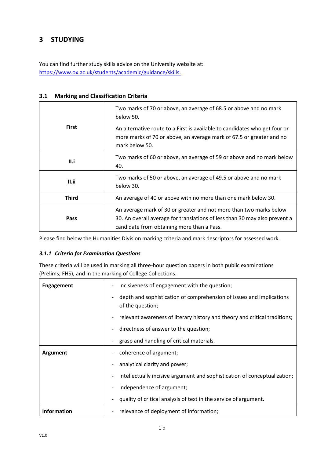# <span id="page-15-0"></span>**3 STUDYING**

You can find further study skills advice on the University website at: [https://www.ox.ac.uk/students/academic/guidance/skills.](https://www.ox.ac.uk/students/academic/guidance/skills?wssl=1)

| <b>First</b> | Two marks of 70 or above, an average of 68.5 or above and no mark<br>below 50.<br>An alternative route to a First is available to candidates who get four or<br>more marks of 70 or above, an average mark of 67.5 or greater and no<br>mark below 50. |
|--------------|--------------------------------------------------------------------------------------------------------------------------------------------------------------------------------------------------------------------------------------------------------|
| II.i         | Two marks of 60 or above, an average of 59 or above and no mark below<br>40.                                                                                                                                                                           |
| II.ii        | Two marks of 50 or above, an average of 49.5 or above and no mark<br>below 30.                                                                                                                                                                         |
| <b>Third</b> | An average of 40 or above with no more than one mark below 30.                                                                                                                                                                                         |
| Pass         | An average mark of 30 or greater and not more than two marks below<br>30. An overall average for translations of less than 30 may also prevent a<br>candidate from obtaining more than a Pass.                                                         |

## <span id="page-15-1"></span>**3.1 Marking and Classification Criteria**

Please find below the Humanities Division marking criteria and mark descriptors for assessed work.

## <span id="page-15-2"></span>*3.1.1 Criteria for Examination Questions*

These criteria will be used in marking all three-hour question papers in both public examinations (Prelims; FHS), and in the marking of College Collections.

| <b>Engagement</b>  | incisiveness of engagement with the question;<br>$\overline{\phantom{a}}$                                            |
|--------------------|----------------------------------------------------------------------------------------------------------------------|
|                    | depth and sophistication of comprehension of issues and implications<br>$\overline{\phantom{a}}$<br>of the question; |
|                    | relevant awareness of literary history and theory and critical traditions;<br>$\overline{\phantom{a}}$               |
|                    | directness of answer to the question;<br>$\overline{\phantom{a}}$                                                    |
|                    | grasp and handling of critical materials.<br>$\overline{\phantom{a}}$                                                |
| Argument           | coherence of argument;<br>$\overline{\phantom{a}}$                                                                   |
|                    | analytical clarity and power;                                                                                        |
|                    | intellectually incisive argument and sophistication of conceptualization;<br>$\overline{\phantom{a}}$                |
|                    | independence of argument;<br>$\overline{\phantom{a}}$                                                                |
|                    | quality of critical analysis of text in the service of argument.<br>$\overline{\phantom{a}}$                         |
| <b>Information</b> | relevance of deployment of information;                                                                              |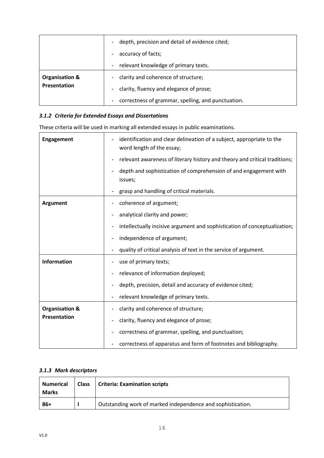|                | depth, precision and detail of evidence cited;<br>$\overline{\phantom{0}}$ |
|----------------|----------------------------------------------------------------------------|
|                | accuracy of facts;<br>$\overline{\phantom{0}}$                             |
|                | relevant knowledge of primary texts.<br>-                                  |
| Organisation & | clarity and coherence of structure;<br>$\overline{\phantom{0}}$            |
| Presentation   | clarity, fluency and elegance of prose;<br>-                               |
|                | correctness of grammar, spelling, and punctuation.<br>-                    |

## <span id="page-16-0"></span>*3.1.2 Criteria for Extended Essays and Dissertations*

These criteria will be used in marking all extended essays in public examinations.

| <b>Engagement</b>         | identification and clear delineation of a subject, appropriate to the<br>word length of the essay;    |
|---------------------------|-------------------------------------------------------------------------------------------------------|
|                           | relevant awareness of literary history and theory and critical traditions;                            |
|                           | depth and sophistication of comprehension of and engagement with<br>issues;                           |
|                           | grasp and handling of critical materials.                                                             |
| Argument                  | coherence of argument;<br>$\overline{\phantom{a}}$                                                    |
|                           | analytical clarity and power;                                                                         |
|                           | intellectually incisive argument and sophistication of conceptualization;<br>$\overline{\phantom{a}}$ |
|                           | independence of argument;                                                                             |
|                           | quality of critical analysis of text in the service of argument.                                      |
| <b>Information</b>        | use of primary texts;                                                                                 |
|                           | relevance of information deployed;                                                                    |
|                           | depth, precision, detail and accuracy of evidence cited;                                              |
|                           | relevant knowledge of primary texts.                                                                  |
| <b>Organisation &amp;</b> | clarity and coherence of structure;                                                                   |
| Presentation              | clarity, fluency and elegance of prose;                                                               |
|                           | correctness of grammar, spelling, and punctuation;                                                    |
|                           | correctness of apparatus and form of footnotes and bibliography.                                      |

## <span id="page-16-1"></span>*3.1.3 Mark descriptors*

| <b>Numerical</b><br><b>Marks</b> | Class   Criteria: Examination scripts                       |
|----------------------------------|-------------------------------------------------------------|
| $86+$                            | Outstanding work of marked independence and sophistication. |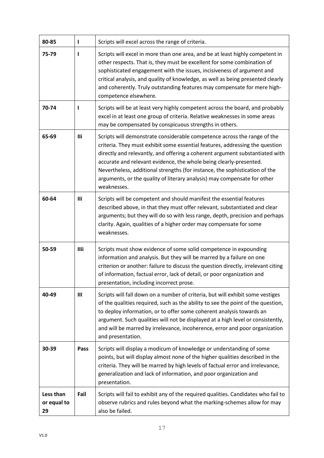| 80-85                          | $\mathbf{I}$   | Scripts will excel across the range of criteria.                                                                                                                                                                                                                                                                                                                                                                                                                                         |
|--------------------------------|----------------|------------------------------------------------------------------------------------------------------------------------------------------------------------------------------------------------------------------------------------------------------------------------------------------------------------------------------------------------------------------------------------------------------------------------------------------------------------------------------------------|
| 75-79                          | L              | Scripts will excel in more than one area, and be at least highly competent in<br>other respects. That is, they must be excellent for some combination of<br>sophisticated engagement with the issues, incisiveness of argument and<br>critical analysis, and quality of knowledge, as well as being presented clearly<br>and coherently. Truly outstanding features may compensate for mere high-<br>competence elsewhere.                                                               |
| 70-74                          | L              | Scripts will be at least very highly competent across the board, and probably<br>excel in at least one group of criteria. Relative weaknesses in some areas<br>may be compensated by conspicuous strengths in others.                                                                                                                                                                                                                                                                    |
| 65-69                          | lli            | Scripts will demonstrate considerable competence across the range of the<br>criteria. They must exhibit some essential features, addressing the question<br>directly and relevantly, and offering a coherent argument substantiated with<br>accurate and relevant evidence, the whole being clearly-presented.<br>Nevertheless, additional strengths (for instance, the sophistication of the<br>arguments, or the quality of literary analysis) may compensate for other<br>weaknesses. |
| 60-64                          | lli            | Scripts will be competent and should manifest the essential features<br>described above, in that they must offer relevant, substantiated and clear<br>arguments; but they will do so with less range, depth, precision and perhaps<br>clarity. Again, qualities of a higher order may compensate for some<br>weaknesses.                                                                                                                                                                 |
| 50-59                          | <b>Ilii</b>    | Scripts must show evidence of some solid competence in expounding<br>information and analysis. But they will be marred by a failure on one<br>criterion or another: failure to discuss the question directly, irrelevant citing<br>of information, factual error, lack of detail, or poor organization and<br>presentation, including incorrect prose.                                                                                                                                   |
| 40-49                          | $\mathbf{III}$ | Scripts will fall down on a number of criteria, but will exhibit some vestiges<br>of the qualities required, such as the ability to see the point of the question,<br>to deploy information, or to offer some coherent analysis towards an<br>argument. Such qualities will not be displayed at a high level or consistently,<br>and will be marred by irrelevance, incoherence, error and poor organization<br>and presentation.                                                        |
| 30-39                          | Pass           | Scripts will display a modicum of knowledge or understanding of some<br>points, but will display almost none of the higher qualities described in the<br>criteria. They will be marred by high levels of factual error and irrelevance,<br>generalization and lack of information, and poor organization and<br>presentation.                                                                                                                                                            |
| Less than<br>or equal to<br>29 | Fail           | Scripts will fail to exhibit any of the required qualities. Candidates who fail to<br>observe rubrics and rules beyond what the marking-schemes allow for may<br>also be failed.                                                                                                                                                                                                                                                                                                         |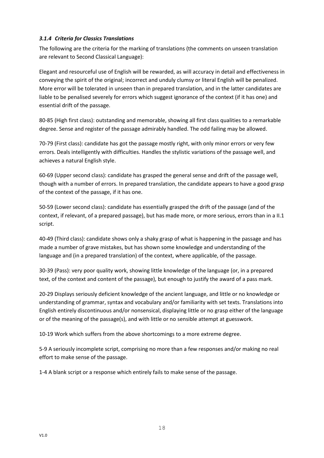## <span id="page-18-0"></span>*3.1.4 Criteria for Classics Translations*

The following are the criteria for the marking of translations (the comments on unseen translation are relevant to Second Classical Language):

Elegant and resourceful use of English will be rewarded, as will accuracy in detail and effectiveness in conveying the spirit of the original; incorrect and unduly clumsy or literal English will be penalized. More error will be tolerated in unseen than in prepared translation, and in the latter candidates are liable to be penalised severely for errors which suggest ignorance of the context (if it has one) and essential drift of the passage.

80-85 (High first class): outstanding and memorable, showing all first class qualities to a remarkable degree. Sense and register of the passage admirably handled. The odd failing may be allowed.

70-79 (First class): candidate has got the passage mostly right, with only minor errors or very few errors. Deals intelligently with difficulties. Handles the stylistic variations of the passage well, and achieves a natural English style.

60-69 (Upper second class): candidate has grasped the general sense and drift of the passage well, though with a number of errors. In prepared translation, the candidate appears to have a good grasp of the context of the passage, if it has one.

50-59 (Lower second class): candidate has essentially grasped the drift of the passage (and of the context, if relevant, of a prepared passage), but has made more, or more serious, errors than in a II.1 script.

40-49 (Third class): candidate shows only a shaky grasp of what is happening in the passage and has made a number of grave mistakes, but has shown some knowledge and understanding of the language and (in a prepared translation) of the context, where applicable, of the passage.

30-39 (Pass): very poor quality work, showing little knowledge of the language (or, in a prepared text, of the context and content of the passage), but enough to justify the award of a pass mark.

20-29 Displays seriously deficient knowledge of the ancient language, and little or no knowledge or understanding of grammar, syntax and vocabulary and/or familiarity with set texts. Translations into English entirely discontinuous and/or nonsensical, displaying little or no grasp either of the language or of the meaning of the passage(s), and with little or no sensible attempt at guesswork.

10-19 Work which suffers from the above shortcomings to a more extreme degree.

5-9 A seriously incomplete script, comprising no more than a few responses and/or making no real effort to make sense of the passage.

1-4 A blank script or a response which entirely fails to make sense of the passage.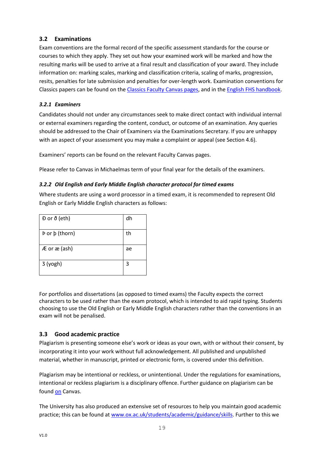## <span id="page-19-0"></span>**3.2 Examinations**

Exam conventions are the formal record of the specific assessment standards for the course or courses to which they apply. They set out how your examined work will be marked and how the resulting marks will be used to arrive at a final result and classification of your award. They include information on: marking scales, marking and classification criteria, scaling of marks, progression, resits, penalties for late submission and penalties for over-length work. Examination conventions for Classics papers can be found on the [Classics Faculty Canvas pages,](https://login.canvas.ox.ac.uk/) and in the [English FHS handbook.](https://oess.web.ox.ac.uk/handbooks)

## <span id="page-19-1"></span>*3.2.1 Examiners*

Candidates should not under any circumstances seek to make direct contact with individual internal or external examiners regarding the content, conduct, or outcome of an examination. Any queries should be addressed to the Chair of Examiners via the Examinations Secretary. If you are unhappy with an aspect of your assessment you may make a complaint or appeal (see Section 4.6).

Examiners' reports can be found on the relevant Faculty Canvas pages.

Please refer to Canvas in Michaelmas term of your final year for the details of the examiners.

## <span id="page-19-2"></span>*3.2.2 Old English and Early Middle English character protocol for timed exams*

Where students are using a word processor in a timed exam, it is recommended to represent Old English or Early Middle English characters as follows:

| $D$ or $\delta$ (eth) | dh |
|-----------------------|----|
| Þ or þ (thorn)        | th |
| Æ or æ (ash)          | ae |
| 3 (yogh)              | 3  |

For portfolios and dissertations (as opposed to timed exams) the Faculty expects the correct characters to be used rather than the exam protocol, which is intended to aid rapid typing. Students choosing to use the Old English or Early Middle English characters rather than the conventions in an exam will not be penalised.

## <span id="page-19-3"></span>**3.3 Good academic practice**

Plagiarism is presenting someone else's work or ideas as your own, with or without their consent, by incorporating it into your work without full acknowledgement. All published and unpublished material, whether in manuscript, printed or electronic form, is covered under this definition.

Plagiarism may be intentional or reckless, or unintentional. Under the regulations for examinations, intentional or reckless plagiarism is a disciplinary offence. Further guidance on plagiarism can be found [on](file://///ell-vsvr1.ell.ox.ac.uk/EFO/Undergraduates/Handbooks%20&%20Programme%20Specs/Handbooks/2020-21/on) Canvas.

The University has also produced an extensive set of resources to help you maintain good academic practice; this can be found at [www.ox.ac.uk/students/academic/guidance/skills.](http://www.ox.ac.uk/students/academic/guidance/skills) Further to this we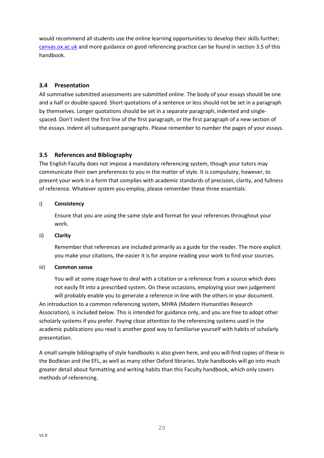would recommend all students use the online learning opportunities to develop their skills further; [canvas.ox.ac.uk](https://www.canvas.ox.ac.uk/) and more guidance on good referencing practice can be found in section 3.5 of this handbook.

## <span id="page-20-0"></span>**3.4 Presentation**

All summative submitted assessments are submitted online. The body of your essays should be one and a half or double-spaced. Short quotations of a sentence or less should not be set in a paragraph by themselves. Longer quotations should be set in a separate paragraph, indented and singlespaced. Don't indent the first line of the first paragraph, or the first paragraph of a new section of the essays. Indent all subsequent paragraphs. Please remember to number the pages of your essays.

## <span id="page-20-1"></span>**3.5 References and Bibliography**

The English Faculty does not impose a mandatory referencing system, though your tutors may communicate their own preferences to you in the matter of style. It is compulsory, however, to present your work in a form that complies with academic standards of precision, clarity, and fullness of reference. Whatever system you employ, please remember these three essentials:

## i) **Consistency**

Ensure that you are using the same style and format for your references throughout your work.

## ii) **Clarity**

Remember that references are included primarily as a guide for the reader. The more explicit you make your citations, the easier it is for anyone reading your work to find your sources.

## iii) **Common sense**

You will at some stage have to deal with a citation or a reference from a source which does not easily fit into a prescribed system. On these occasions, employing your own judgement will probably enable you to generate a reference in line with the others in your document. An introduction to a common referencing system, MHRA (Modern Humanities Research Association), is included below. This is intended for guidance only, and you are free to adopt other scholarly systems if you prefer. Paying close attention to the referencing systems used in the academic publications you read is another good way to familiarise yourself with habits of scholarly presentation.

A small sample bibliography of style handbooks is also given here, and you will find copies of these in the Bodleian and the EFL, as well as many other Oxford libraries. Style handbooks will go into much greater detail about formatting and writing habits than this Faculty handbook, which only covers methods of referencing.

V1.0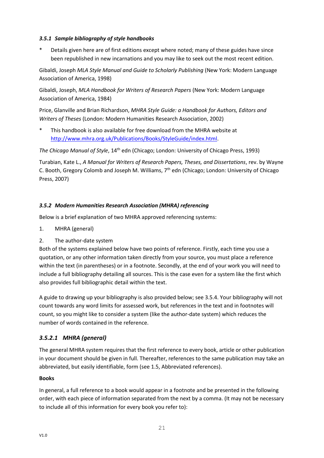## <span id="page-21-0"></span>*3.5.1 Sample bibliography of style handbooks*

Details given here are of first editions except where noted; many of these guides have since been republished in new incarnations and you may like to seek out the most recent edition.

Gibaldi, Joseph *MLA Style Manual and Guide to Scholarly Publishing* (New York: Modern Language Association of America, 1998)

Gibaldi, Joseph, *MLA Handbook for Writers of Research Papers* (New York: Modern Language Association of America, 1984)

Price, Glanville and Brian Richardson, *MHRA Style Guide: a Handbook for Authors, Editors and Writers of Theses* (London: Modern Humanities Research Association, 2002)

This handbook is also available for free download from the MHRA website at [http://www.mhra.org.uk/Publications/Books/StyleGuide/index.html.](http://www.mhra.org.uk/Publications/Books/StyleGuide/index.html)

*The Chicago Manual of Style*, 14th edn (Chicago; London: University of Chicago Press, 1993)

Turabian, Kate L., *A Manual for Writers of Research Papers, Theses, and Dissertations*, rev. by Wayne C. Booth, Gregory Colomb and Joseph M. Williams, 7<sup>th</sup> edn (Chicago; London: University of Chicago Press, 2007)

## <span id="page-21-1"></span>*3.5.2 Modern Humanities Research Association (MHRA) referencing*

Below is a brief explanation of two MHRA approved referencing systems:

- 1. MHRA (general)
- 2. The author-date system

Both of the systems explained below have two points of reference. Firstly, each time you use a quotation, or any other information taken directly from your source, you must place a reference within the text (in parentheses) or in a footnote. Secondly, at the end of your work you will need to include a full bibliography detailing all sources. This is the case even for a system like the first which also provides full bibliographic detail within the text.

A guide to drawing up your bibliography is also provided below; see 3.5.4. Your bibliography will not count towards any word limits for assessed work, but references in the text and in footnotes will count, so you might like to consider a system (like the author-date system) which reduces the number of words contained in the reference.

## *3.5.2.1 MHRA (general)*

The general MHRA system requires that the first reference to every book, article or other publication in your document should be given in full. Thereafter, references to the same publication may take an abbreviated, but easily identifiable, form (see 1.5, Abbreviated references).

## **Books**

In general, a full reference to a book would appear in a footnote and be presented in the following order, with each piece of information separated from the next by a comma. (It may not be necessary to include all of this information for every book you refer to):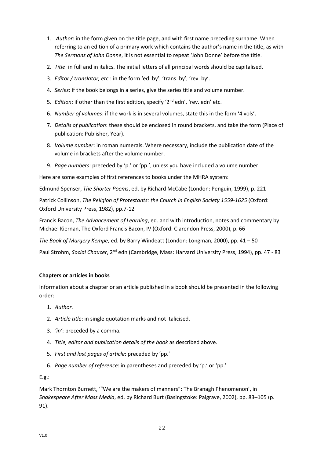- 1. *Author*: in the form given on the title page, and with first name preceding surname. When referring to an edition of a primary work which contains the author's name in the title, as with *The Sermons of John Donne*, it is not essential to repeat 'John Donne' before the title.
- 2. *Title*: in full and in italics. The initial letters of all principal words should be capitalised.
- 3. *Editor / translator, etc.*: in the form 'ed. by', 'trans. by', 'rev. by'.
- 4. *Series*: if the book belongs in a series, give the series title and volume number.
- 5. *Edition*: if other than the first edition, specify '2nd edn', 'rev. edn' etc.
- 6. *Number of volumes*: if the work is in several volumes, state this in the form '4 vols'.
- 7. *Details of publication*: these should be enclosed in round brackets, and take the form (Place of publication: Publisher, Year).
- 8. *Volume number*: in roman numerals. Where necessary, include the publication date of the volume in brackets after the volume number.
- 9. *Page numbers*: preceded by 'p.' or 'pp.', unless you have included a volume number.

Here are some examples of first references to books under the MHRA system:

Edmund Spenser, *The Shorter Poems*, ed. by Richard McCabe (London: Penguin, 1999), p. 221

Patrick Collinson, *The Religion of Protestants: the Church in English Society 1559-1625* (Oxford: Oxford University Press, 1982), pp.7-12

Francis Bacon, *The Advancement of Learning*, ed. and with introduction, notes and commentary by Michael Kiernan, The Oxford Francis Bacon, IV (Oxford: Clarendon Press, 2000), p. 66

*The Book of Margery Kempe*, ed. by Barry Windeatt (London: Longman, 2000), pp. 41 – 50

Paul Strohm, *Social Chaucer*, 2nd edn (Cambridge, Mass: Harvard University Press, 1994), pp. 47 - 83

## **Chapters or articles in books**

Information about a chapter or an article published in a book should be presented in the following order:

- 1. *Author.*
- 2. *Article title*: in single quotation marks and not italicised.
- 3. *'in'*: preceded by a comma.
- 4. *Title, editor and publication details of the book* as described above*.*
- 5. *First and last pages of article*: preceded by 'pp.'
- 6. *Page number of reference*: in parentheses and preceded by 'p.' or 'pp.'

E.g.:

Mark Thornton Burnett, '"We are the makers of manners": The Branagh Phenomenon', in *Shakespeare After Mass Media*, ed. by Richard Burt (Basingstoke: Palgrave, 2002), pp. 83–105 (p. 91).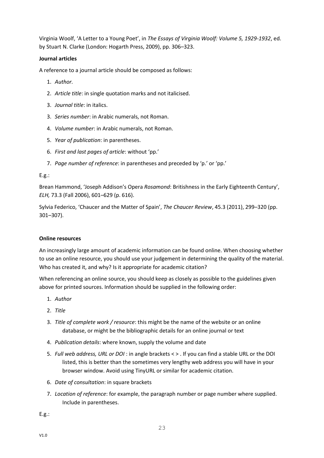Virginia Woolf, 'A Letter to a Young Poet', in *The Essays of Virginia Woolf: Volume 5, 1929-1932*, ed. by Stuart N. Clarke (London: Hogarth Press, 2009), pp. 306–323.

## **Journal articles**

A reference to a journal article should be composed as follows:

- 1. *Author.*
- 2. *Article title*: in single quotation marks and not italicised.
- 3. *Journal title*: in italics.
- 3. *Series number*: in Arabic numerals, not Roman.
- 4. *Volume number*: in Arabic numerals, not Roman.
- 5. *Year of publication*: in parentheses.
- 6. *First and last pages of article*: without 'pp.'
- 7. *Page number of reference*: in parentheses and preceded by 'p.' or 'pp.'

#### E.g.:

Brean Hammond, 'Joseph Addison's Opera *Rosamond*: Britishness in the Early Eighteenth Century', *ELH,* 73.3 (Fall 2006), 601–629 (p. 616).

Sylvia Federico, 'Chaucer and the Matter of Spain', *The Chaucer Review*, 45.3 (2011), 299–320 (pp. 301–307).

#### **Online resources**

An increasingly large amount of academic information can be found online. When choosing whether to use an online resource, you should use your judgement in determining the quality of the material. Who has created it, and why? Is it appropriate for academic citation?

When referencing an online source, you should keep as closely as possible to the guidelines given above for printed sources. Information should be supplied in the following order:

- 1. *Author*
- 2. *Title*
- 3. *Title of complete work / resource*: this might be the name of the website or an online database, or might be the bibliographic details for an online journal or text
- 4. *Publication details*: where known, supply the volume and date
- 5. *Full web address, URL or DOI* : in angle brackets < > . If you can find a stable URL or the DOI listed, this is better than the sometimes very lengthy web address you will have in your browser window. Avoid using TinyURL or similar for academic citation.
- 6. *Date of consultation*: in square brackets
- 7. *Location of reference*: for example, the paragraph number or page number where supplied. Include in parentheses.

E.g.: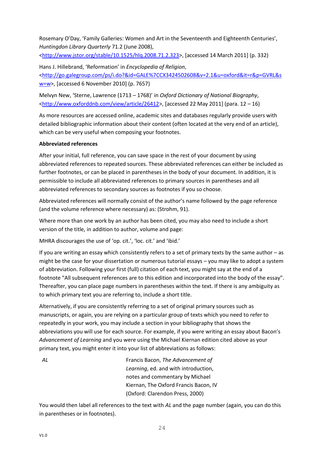Rosemary O'Day, 'Family Galleries: Women and Art in the Seventeenth and Eighteenth Centuries', *Huntingdon Library Quarterly* 71.2 (June 2008),

[<http://www.jstor.org/stable/10.1525/hlq.2008.71.2.323>](http://www.jstor.org/stable/10.1525/hlq.2008.71.2.323), [accessed 14 March 2011] (p. 332)

Hans J. Hillebrand, 'Reformation' in *Encyclopedia of Religion*, [<http://go.galegroup.com/ps/i.do?&id=GALE%7CCX3424502608&v=2.1&u=oxford&it=r&p=GVRL&s](http://go.galegroup.com/ps/i.do?&id=GALE%7CCX3424502608&v=2.1&u=oxford&it=r&p=GVRL&sw=w) [w=w>](http://go.galegroup.com/ps/i.do?&id=GALE%7CCX3424502608&v=2.1&u=oxford&it=r&p=GVRL&sw=w), [accessed 6 November 2010] (p. 7657)

Melvyn New, 'Sterne, Lawrence (1713 – 1768)' in *Oxford Dictionary of National Biography*, [<http://www.oxforddnb.com/view/article/26412>](http://www.oxforddnb.com/view/article/26412), [accessed 22 May 2011] (para. 12 - 16)

As more resources are accessed online, academic sites and databases regularly provide users with detailed bibliographic information about their content (often located at the very end of an article), which can be very useful when composing your footnotes.

## **Abbreviated references**

After your initial, full reference, you can save space in the rest of your document by using abbreviated references to repeated sources. These abbreviated references can either be included as further footnotes, or can be placed in parentheses in the body of your document. In addition, it is permissible to include all abbreviated references to primary sources in parentheses and all abbreviated references to secondary sources as footnotes if you so choose.

Abbreviated references will normally consist of the author's name followed by the page reference (and the volume reference where necessary) as: (Strohm, 91).

Where more than one work by an author has been cited, you may also need to include a short version of the title, in addition to author, volume and page:

MHRA discourages the use of 'op. cit.', 'loc. cit.' and 'ibid.'

If you are writing an essay which consistently refers to a set of primary texts by the same author – as might be the case for your dissertation or numerous tutorial essays – you may like to adopt a system of abbreviation. Following your first (full) citation of each text, you might say at the end of a footnote "All subsequent references are to this edition and incorporated into the body of the essay". Thereafter, you can place page numbers in parentheses within the text. If there is any ambiguity as to which primary text you are referring to, include a short title.

Alternatively, if you are consistently referring to a set of original primary sources such as manuscripts, or again, you are relying on a particular group of texts which you need to refer to repeatedly in your work, you may include a section in your bibliography that shows the abbreviations you will use for each source. For example, if you were writing an essay about Bacon's *Advancement of Learning* and you were using the Michael Kiernan edition cited above as your primary text, you might enter it into your list of abbreviations as follows:

*AL* Francis Bacon, *The Advancement of Learning*, ed. and with introduction, notes and commentary by Michael Kiernan, The Oxford Francis Bacon, IV (Oxford: Clarendon Press, 2000)

You would then label all references to the text with *AL* and the page number (again, you can do this in parentheses or in footnotes).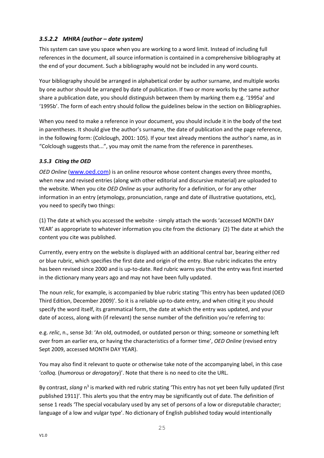## *3.5.2.2 MHRA (author – date system)*

This system can save you space when you are working to a word limit. Instead of including full references in the document, all source information is contained in a comprehensive bibliography at the end of your document. Such a bibliography would not be included in any word counts.

Your bibliography should be arranged in alphabetical order by author surname, and multiple works by one author should be arranged by date of publication. If two or more works by the same author share a publication date, you should distinguish between them by marking them e.g. '1995a' and '1995b'. The form of each entry should follow the guidelines below in the section on Bibliographies.

When you need to make a reference in your document, you should include it in the body of the text in parentheses. It should give the author's surname, the date of publication and the page reference, in the following form: (Colclough, 2001: 105). If your text already mentions the author's name, as in "Colclough suggests that...", you may omit the name from the reference in parentheses.

## <span id="page-25-0"></span>*3.5.3 Citing the OED*

*OED Online* ([www.oed.com](http://www.oed.com/)) is an online resource whose content changes every three months, when new and revised entries (along with other editorial and discursive material) are uploaded to the website. When you cite *OED Online* as your authority for a definition, or for any other information in an entry (etymology, pronunciation, range and date of illustrative quotations, etc), you need to specify two things:

(1) The date at which you accessed the website - simply attach the words 'accessed MONTH DAY YEAR' as appropriate to whatever information you cite from the dictionary (2) The date at which the content you cite was published.

Currently, every entry on the website is displayed with an additional central bar, bearing either red or blue rubric, which specifies the first date and origin of the entry. Blue rubric indicates the entry has been revised since 2000 and is up-to-date. Red rubric warns you that the entry was first inserted in the dictionary many years ago and may not have been fully updated.

The noun *relic*, for example, is accompanied by blue rubric stating 'This entry has been updated (OED Third Edition, December 2009)'. So it is a reliable up-to-date entry, and when citing it you should specify the word itself, its grammatical form, the date at which the entry was updated, and your date of access, along with (if relevant) the sense number of the definition you're referring to:

e.g. *relic*, n., sense 3d: 'An old, outmoded, or outdated person or thing; someone or something left over from an earlier era, or having the characteristics of a former time', *OED Online* (revised entry Sept 2009, accessed MONTH DAY YEAR).

You may also find it relevant to quote or otherwise take note of the accompanying label, in this case '*colloq.* (*humorous* or *derogatory*)'. Note that there is no need to cite the URL.

By contrast, slang n<sup>3</sup> is marked with red rubric stating 'This entry has not yet been fully updated (first published 1911)'. This alerts you that the entry may be significantly out of date. The definition of sense 1 reads 'The special vocabulary used by any set of persons of a low or disreputable character; language of a low and vulgar type'. No dictionary of English published today would intentionally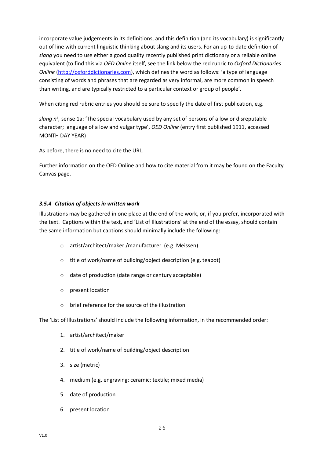incorporate value judgements in its definitions, and this definition (and its vocabulary) is significantly out of line with current linguistic thinking about slang and its users. For an up-to-date definition of *slang* you need to use either a good quality recently published print dictionary or a reliable online equivalent (to find this via *OED Online* itself, see the link below the red rubric to *Oxford Dictionaries Online* [\(http://oxforddictionaries.com](http://oxforddictionaries.com/)), which defines the word as follows: 'a type of language consisting of words and phrases that are regarded as very informal, are more common in speech than writing, and are typically restricted to a particular context or group of people'.

When citing red rubric entries you should be sure to specify the date of first publication, e.g.

slang n<sup>3</sup>, sense 1a: 'The special vocabulary used by any set of persons of a low or disreputable character; language of a low and vulgar type', *OED Online* (entry first published 1911, accessed MONTH DAY YEAR)

As before, there is no need to cite the URL.

Further information on the OED Online and how to cite material from it may be found on the Faculty Canvas page.

## <span id="page-26-0"></span>*3.5.4 Citation of objects in written work*

Illustrations may be gathered in one place at the end of the work, or, if you prefer, incorporated with the text. Captions within the text, and 'List of Illustrations' at the end of the essay, should contain the same information but captions should minimally include the following:

- o artist/architect/maker /manufacturer (e.g. Meissen)
- o title of work/name of building/object description (e.g. teapot)
- o date of production (date range or century acceptable)
- o present location
- brief reference for the source of the illustration

The 'List of Illustrations' should include the following information, in the recommended order:

- 1. artist/architect/maker
- 2. title of work/name of building/object description
- 3. size (metric)
- 4. medium (e.g. engraving; ceramic; textile; mixed media)
- 5. date of production
- 6. present location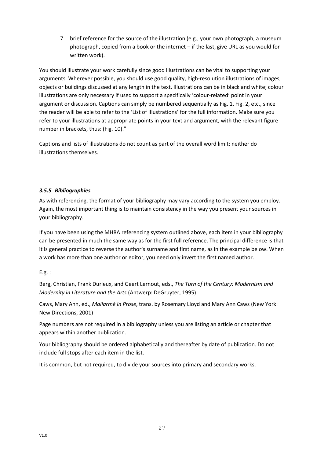7. brief reference for the source of the illustration (e.g., your own photograph, a museum photograph, copied from a book or the internet – if the last, give URL as you would for written work).

You should illustrate your work carefully since good illustrations can be vital to supporting your arguments. Wherever possible, you should use good quality, high-resolution illustrations of images, objects or buildings discussed at any length in the text. Illustrations can be in black and white; colour illustrations are only necessary if used to support a specifically 'colour-related' point in your argument or discussion. Captions can simply be numbered sequentially as Fig. 1, Fig. 2, etc., since the reader will be able to refer to the 'List of Illustrations' for the full information. Make sure you refer to your illustrations at appropriate points in your text and argument, with the relevant figure number in brackets, thus: (Fig. 10)."

Captions and lists of illustrations do not count as part of the overall word limit; neither do illustrations themselves.

## <span id="page-27-0"></span>*3.5.5 Bibliographies*

As with referencing, the format of your bibliography may vary according to the system you employ. Again, the most important thing is to maintain consistency in the way you present your sources in your bibliography.

If you have been using the MHRA referencing system outlined above, each item in your bibliography can be presented in much the same way as for the first full reference. The principal difference is that it is general practice to reverse the author's surname and first name, as in the example below. When a work has more than one author or editor, you need only invert the first named author.

## E.g. :

Berg, Christian, Frank Durieux, and Geert Lernout, eds., *The Turn of the Century: Modernism and Modernity in Literature and the Arts* (Antwerp: DeGruyter, 1995)

Caws, Mary Ann, ed., *Mallarmé in Prose*, trans. by Rosemary Lloyd and Mary Ann Caws (New York: New Directions, 2001)

Page numbers are not required in a bibliography unless you are listing an article or chapter that appears within another publication.

Your bibliography should be ordered alphabetically and thereafter by date of publication. Do not include full stops after each item in the list.

27

It is common, but not required, to divide your sources into primary and secondary works.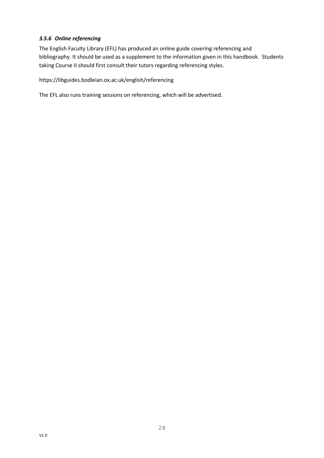## <span id="page-28-0"></span>*3.5.6 Online referencing*

The English Faculty Library (EFL) has produced an online guide covering referencing and bibliography. It should be used as a supplement to the information given in this handbook. Students taking Course II should first consult their tutors regarding referencing styles.

https://libguides.bodleian.ox.ac.uk/english/referencing

The EFL also runs training sessions on referencing, which will be advertised.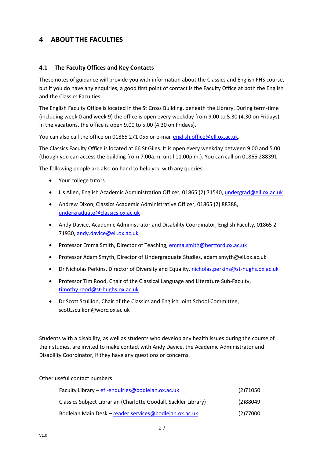## <span id="page-29-0"></span>**4 ABOUT THE FACULTIES**

## <span id="page-29-1"></span>**4.1 The Faculty Offices and Key Contacts**

These notes of guidance will provide you with information about the Classics and English FHS course, but if you do have any enquiries, a good first point of contact is the Faculty Office at both the English and the Classics Faculties.

The English Faculty Office is located in the St Cross Building, beneath the Library. During term-time (including week 0 and week 9) the office is open every weekday from 9.00 to 5.30 (4.30 on Fridays). In the vacations, the office is open 9.00 to 5.00 (4.30 on Fridays).

You can also call the office on 01865 271 055 or e-mail [english.office@ell.ox.ac.uk.](mailto:english.office@ell.ox.ac.uk)

The Classics Faculty Office is located at 66 St Giles. It is open every weekday between 9.00 and 5.00 (though you can access the building from 7.00a.m. until 11.00p.m.). You can call on 01865 288391.

The following people are also on hand to help you with any queries:

- Your college tutors
- Lis Allen, English Academic Administration Officer, 01865 (2) 71540, [undergrad@ell.ox.ac.uk](mailto:undergrad@ell.ox.ac.uk)
- Andrew Dixon, Classics Academic Administrative Officer, 01865 (2) 88388, [undergraduate@classics.ox.ac.uk](mailto:undergraduate@classics.ox.ac.uk)
- Andy Davice, Academic Administrator and Disability Coordinator, English Faculty, 01865 2 71930, [andy.davice@ell.ox.ac.uk](mailto:andy.davice@ell.ox.ac.uk)
- Professor Emma Smith, Director of Teaching, [emma.smith@hertford.ox.ac.uk](mailto:emma.smith@hertford.ox.ac.uk)
- Professor Adam Smyth, Director of Undergraduate Studies, adam.smyth@ell.ox.ac.uk
- Dr Nicholas Perkins, Director of Diversity and Equality, [nicholas.perkins@st-hughs.ox.ac.uk](mailto:nicholas.perkins@st-hughs.ox.ac.uk?subject=Diversity%20&%20Equality)
- Professor Tim Rood, Chair of the Classical Language and Literature Sub-Faculty, [timothy.rood@st-hughs.ox.ac.uk](mailto:timothy.rood@st-hughs.ox.ac.uk)
- Dr Scott Scullion, Chair of the Classics and English Joint School Committee, scott.scullion@worc.ox.ac.uk

Students with a disability, as well as students who develop any health issues during the course of their studies, are invited to make contact with Andy Davice, the Academic Administrator and Disability Coordinator, if they have any questions or concerns.

Other useful contact numbers:

| Faculty Library - efl-enquiries@bodleian.ox.ac.uk               | (2)71050 |
|-----------------------------------------------------------------|----------|
| Classics Subject Librarian (Charlotte Goodall, Sackler Library) | (2)88049 |
| Bodleian Main Desk - reader.services@bodleian.ox.ac.uk          | (2)77000 |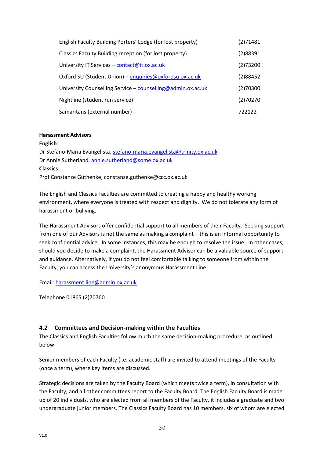| English Faculty Building Porters' Lodge (for lost property) | (2)71481 |
|-------------------------------------------------------------|----------|
| Classics Faculty Building reception (for lost property)     | (2)88391 |
| University IT Services - contact@it.ox.ac.uk                | (2)73200 |
| Oxford SU (Student Union) - enquiries@oxfordsu.ox.ac.uk     | (2)88452 |
| University Counselling Service - counselling@admin.ox.ac.uk | (2)70300 |
| Nightline (student run service)                             | (2)70270 |
| Samaritans (external number)                                | 722122   |

#### **Harassment Advisors**

#### **English**:

Dr Stefano-Maria Evangelista, [stefano-maria.evangelista@trinity.ox.ac.uk](mailto:stefano-maria.evangelista@trinity.ox.ac.uk) Dr Annie Sutherland[, annie.sutherland@some.ox.ac.uk](mailto:annie.sutherland@some.ox.ac.uk?subject=Harassment) **Classics**: Prof Constanze Güthenke, constanze.guthenke@ccc.ox.ac.uk

The English and Classics Faculties are committed to creating a happy and healthy working environment, where everyone is treated with respect and dignity. We do not tolerate any form of harassment or bullying.

The Harassment Advisors offer confidential support to all members of their Faculty. Seeking support from one of our Advisors is not the same as making a complaint – this is an informal opportunity to seek confidential advice. In some instances, this may be enough to resolve the issue. In other cases, should you decide to make a complaint, the Harassment Advisor can be a valuable source of support and guidance. Alternatively, if you do not feel comfortable talking to someone from within the Faculty, you can access the University's anonymous Harassment Line.

Email: [harassment.line@admin.ox.ac.uk](mailto:harassment.line@admin.ox.ac.uk)

Telephone 01865 (2)70760

## <span id="page-30-0"></span>**4.2 Committees and Decision-making within the Faculties**

The Classics and English Faculties follow much the same decision-making procedure, as outlined below:

Senior members of each Faculty (i.e. academic staff) are invited to attend meetings of the Faculty (once a term), where key items are discussed.

Strategic decisions are taken by the Faculty Board (which meets twice a term), in consultation with the Faculty, and all other committees report to the Faculty Board. The English Faculty Board is made up of 20 individuals, who are elected from all members of the Faculty, it includes a graduate and two undergraduate junior members. The Classics Faculty Board has 10 members, six of whom are elected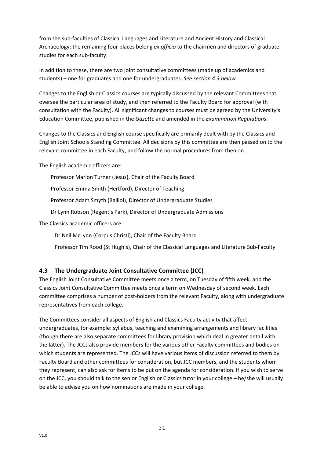from the sub-faculties of Classical Languages and Literature and Ancient History and Classical Archaeology; the remaining four places belong *ex officio* to the chairmen and directors of graduate studies for each sub-faculty.

In addition to these, there are two joint consultative committees (made up of academics and students) – one for graduates and one for undergraduates. *See section 4.3 below.*

Changes to the English or Classics courses are typically discussed by the relevant Committees that oversee the particular area of study, and then referred to the Faculty Board for approval (with consultation with the Faculty). All significant changes to courses must be agreed by the University's Education Committee, published in the *Gazette* and amended in the *Examination Regulations*.

Changes to the Classics and English course specifically are primarily dealt with by the Classics and English Joint Schools Standing Committee. All decisions by this committee are then passed on to the relevant committee in each Faculty, and follow the normal procedures from then on.

The English academic officers are:

Professor Marion Turner (Jesus), Chair of the Faculty Board

Professor Emma Smith (Hertford), Director of Teaching

Professor Adam Smyth (Balliol), Director of Undergraduate Studies

Dr Lynn Robson (Regent's Park), Director of Undergraduate Admissions

The Classics academic officers are:

Dr Neil McLynn (Corpus Christi), Chair of the Faculty Board

Professor Tim Rood (St Hugh's), Chair of the Classical Languages and Literature Sub-Faculty

## <span id="page-31-0"></span>**4.3 The Undergraduate Joint Consultative Committee (JCC)**

The English Joint Consultative Committee meets once a term, on Tuesday of fifth week, and the Classics Joint Consultative Committee meets once a term on Wednesday of second week. Each committee comprises a number of post-holders from the relevant Faculty, along with undergraduate representatives from each college.

The Committees consider all aspects of English and Classics Faculty activity that affect undergraduates, for example: syllabus, teaching and examining arrangements and library facilities (though there are also separate committees for library provision which deal in greater detail with the latter). The JCCs also provide members for the various other Faculty committees and bodies on which students are represented. The JCCs will have various items of discussion referred to them by Faculty Board and other committees for consideration, but JCC members, and the students whom they represent, can also ask for items to be put on the agenda for consideration. If you wish to serve on the JCC, you should talk to the senior English or Classics tutor in your college – he/she will usually be able to advise you on how nominations are made in your college.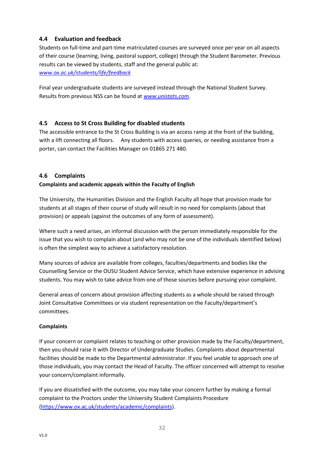## <span id="page-32-0"></span>**4.4 Evaluation and feedback**

Students on full-time and part-time matriculated courses are surveyed once per year on all aspects of their course (learning, living, pastoral support, college) through the Student Barometer. Previous results can be viewed by students, staff and the general public at: *[www.ox.ac.uk/students/life/feedback](http://www.ox.ac.uk/students/life/feedback)*

Final year undergraduate students are surveyed instead through the National Student Survey. Results from previous NSS can be found at *[www.unistats.com](http://www.unistats.com/)*.

## <span id="page-32-1"></span>**4.5 Access to St Cross Building for disabled students**

The accessible entrance to the St Cross Building is via an access ramp at the front of the building, with a lift connecting all floors. Any students with access queries, or needing assistance from a porter, can contact the Facilities Manager on 01865 271 480.

## <span id="page-32-2"></span>**4.6 Complaints**

## **Complaints and academic appeals within the Faculty of English**

The University, the Humanities Division and the English Faculty all hope that provision made for students at all stages of their course of study will result in no need for complaints (about that provision) or appeals (against the outcomes of any form of assessment).

Where such a need arises, an informal discussion with the person immediately responsible for the issue that you wish to complain about (and who may not be one of the individuals identified below) is often the simplest way to achieve a satisfactory resolution.

Many sources of advice are available from colleges, faculties/departments and bodies like the Counselling Service or the OUSU Student Advice Service, which have extensive experience in advising students. You may wish to take advice from one of those sources before pursuing your complaint.

General areas of concern about provision affecting students as a whole should be raised through Joint Consultative Committees or via student representation on the Faculty/department's committees.

## **Complaints**

If your concern or complaint relates to teaching or other provision made by the Faculty/department, then you should raise it with Director of Undergraduate Studies. Complaints about departmental facilities should be made to the Departmental administrator. If you feel unable to approach one of those individuals, you may contact the Head of Faculty. The officer concerned will attempt to resolve your concern/complaint informally.

If you are dissatisfied with the outcome, you may take your concern further by making a formal complaint to the Proctors under the University Student Complaints Procedure [\(https://www.ox.ac.uk/students/academic/complaints\)](https://www.ox.ac.uk/students/academic/complaints).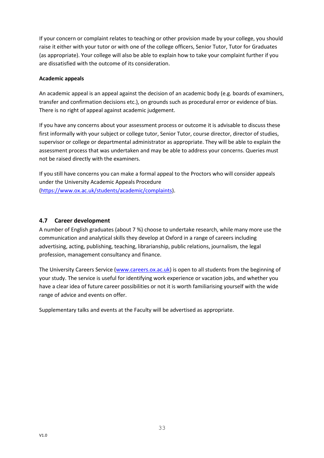If your concern or complaint relates to teaching or other provision made by your college, you should raise it either with your tutor or with one of the college officers, Senior Tutor, Tutor for Graduates (as appropriate). Your college will also be able to explain how to take your complaint further if you are dissatisfied with the outcome of its consideration.

#### **Academic appeals**

An academic appeal is an appeal against the decision of an academic body (e.g. boards of examiners, transfer and confirmation decisions etc.), on grounds such as procedural error or evidence of bias. There is no right of appeal against academic judgement.

If you have any concerns about your assessment process or outcome it is advisable to discuss these first informally with your subject or college tutor, Senior Tutor, course director, director of studies, supervisor or college or departmental administrator as appropriate. They will be able to explain the assessment process that was undertaken and may be able to address your concerns. Queries must not be raised directly with the examiners.

If you still have concerns you can make a formal appeal to the Proctors who will consider appeals under the University Academic Appeals Procedure [\(https://www.ox.ac.uk/students/academic/complaints\)](https://www.ox.ac.uk/students/academic/complaints).

## <span id="page-33-0"></span>**4.7 Career development**

A number of English graduates (about 7 %) choose to undertake research, while many more use the communication and analytical skills they develop at Oxford in a range of careers including advertising, acting, publishing, teaching, librarianship, public relations, journalism, the legal profession, management consultancy and finance.

The University Careers Service [\(www.careers.ox.ac.uk\)](http://www.careers.ox.ac.uk/) is open to all students from the beginning of your study. The service is useful for identifying work experience or vacation jobs, and whether you have a clear idea of future career possibilities or not it is worth familiarising yourself with the wide range of advice and events on offer.

Supplementary talks and events at the Faculty will be advertised as appropriate.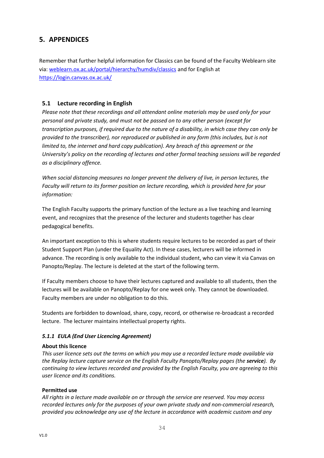# <span id="page-34-0"></span>**5. APPENDICES**

Remember that further helpful information for Classics can be found of the Faculty Weblearn site via: [weblearn.ox.ac.uk/portal/hierarchy/humdiv/classics](https://weblearn.ox.ac.uk/portal/site/:humdiv:classics) and for English at <https://login.canvas.ox.ac.uk/>

## <span id="page-34-1"></span>**5.1 Lecture recording in English**

*Please note that these recordings and all attendant online materials may be used only for your personal and private study, and must not be passed on to any other person (except for transcription purposes, if required due to the nature of a disability, in which case they can only be provided to the transcriber), nor reproduced or published in any form (this includes, but is not limited to, the internet and hard copy publication). Any breach of this agreement or the University's policy on the recording of lectures and other formal teaching sessions will be regarded as a disciplinary offence.* 

*When social distancing measures no longer prevent the delivery of live, in person lectures, the Faculty will return to its former position on lecture recording, which is provided here for your information:*

The English Faculty supports the primary function of the lecture as a live teaching and learning event, and recognizes that the presence of the lecturer and students together has clear pedagogical benefits.

An important exception to this is where students require lectures to be recorded as part of their Student Support Plan (under the Equality Act). In these cases, lecturers will be informed in advance. The recording is only available to the individual student, who can view it via Canvas on Panopto/Replay. The lecture is deleted at the start of the following term.

If Faculty members choose to have their lectures captured and available to all students, then the lectures will be available on Panopto/Replay for one week only. They cannot be downloaded. Faculty members are under no obligation to do this.

Students are forbidden to download, share, copy, record, or otherwise re-broadcast a recorded lecture. The lecturer maintains intellectual property rights.

## <span id="page-34-2"></span>*5.1.1 EULA (End User Licencing Agreement)*

## **About this licence**

*This user licence sets out the terms on which you may use a recorded lecture made available via the Replay lecture capture service on the English Faculty Panopto/Replay pages (the service). By continuing to view lectures recorded and provided by the English Faculty, you are agreeing to this user licence and its conditions.*

## **Permitted use**

*All rights in a lecture made available on or through the service are reserved. You may access recorded lectures only for the purposes of your own private study and non-commercial research, provided you acknowledge any use of the lecture in accordance with academic custom and any*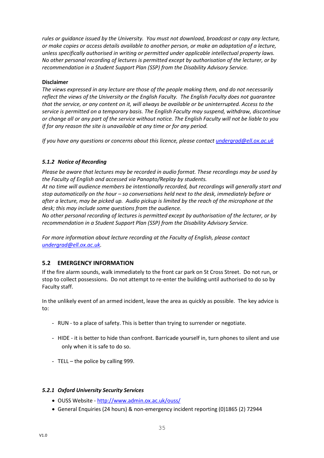*rules or guidance issued by the University. You must not download, broadcast or copy any lecture, or make copies or access details available to another person, or make an adaptation of a lecture, unless specifically authorised in writing or permitted under applicable intellectual property laws. No other personal recording of lectures is permitted except by authorisation of the lecturer, or by recommendation in a Student Support Plan (SSP) from the Disability Advisory Service.*

#### **Disclaimer**

*The views expressed in any lecture are those of the people making them, and do not necessarily reflect the views of the University or the English Faculty. The English Faculty does not guarantee that the service, or any content on it, will always be available or be uninterrupted. Access to the service is permitted on a temporary basis. The English Faculty may suspend, withdraw, discontinue or change all or any part of the service without notice. The English Faculty will not be liable to you if for any reason the site is unavailable at any time or for any period.*

*If you have any questions or concerns about this licence, please contac[t undergrad@ell.ox.ac.uk](mailto:undergrad@ell.ox.ac.uk)*

## <span id="page-35-0"></span>*5.1.2 Notice of Recording*

*Please be aware that lectures may be recorded in audio format. These recordings may be used by the Faculty of English and accessed via Panopto/Replay by students.*

*At no time will audience members be intentionally recorded, but recordings will generally start and stop automatically on the hour – so conversations held next to the desk, immediately before or after a lecture, may be picked up. Audio pickup is limited by the reach of the microphone at the desk; this may include some questions from the audience.*

*No other personal recording of lectures is permitted except by authorisation of the lecturer, or by recommendation in a Student Support Plan (SSP) from the Disability Advisory Service.*

*For more information about lecture recording at the Faculty of English, please contact [undergrad@ell.ox.ac.uk.](mailto:undergrad@ell.ox.ac.uk)*

## <span id="page-35-1"></span>**5.2 EMERGENCY INFORMATION**

If the fire alarm sounds, walk immediately to the front car park on St Cross Street. Do not run, or stop to collect possessions. Do not attempt to re-enter the building until authorised to do so by Faculty staff.

In the unlikely event of an armed incident, leave the area as quickly as possible. The key advice is to:

- RUN to a place of safety. This is better than trying to surrender or negotiate.
- HIDE it is better to hide than confront. Barricade yourself in, turn phones to silent and use only when it is safe to do so.
- TELL the police by calling 999.

#### <span id="page-35-2"></span>*5.2.1 Oxford University Security Services*

- OUSS Website <http://www.admin.ox.ac.uk/ouss/>
- General Enquiries (24 hours) & non-emergency incident reporting (0)1865 (2) 72944